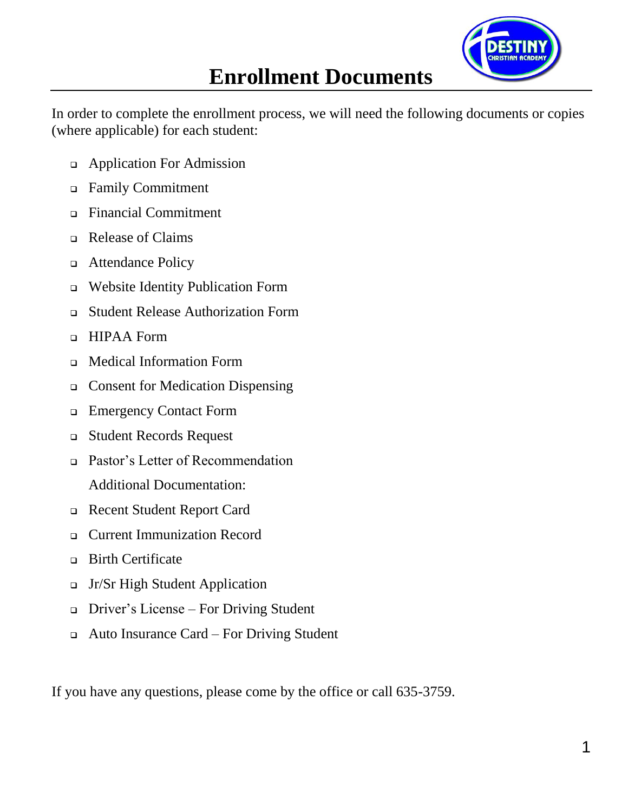

# **Enrollment Documents**

In order to complete the enrollment process, we will need the following documents or copies (where applicable) for each student:

- ❑ Application For Admission
- ❑ Family Commitment
- ❑ Financial Commitment
- ❑ Release of Claims
- ❑ Attendance Policy
- ❑ Website Identity Publication Form
- ❑ Student Release Authorization Form
- ❑ HIPAA Form
- ❑ Medical Information Form
- ❑ Consent for Medication Dispensing
- ❑ Emergency Contact Form
- ❑ Student Records Request
- ❑ Pastor's Letter of Recommendation Additional Documentation:
- ❑ Recent Student Report Card
- ❑ Current Immunization Record
- ❑ Birth Certificate
- ❑ Jr/Sr High Student Application
- ❑ Driver's License For Driving Student
- ❑ Auto Insurance Card For Driving Student

If you have any questions, please come by the office or call 635-3759.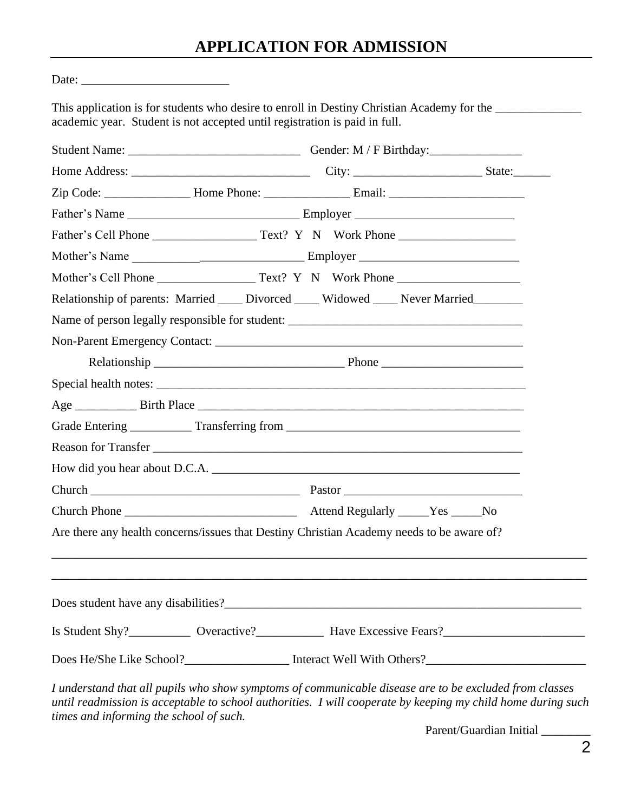# **APPLICATION FOR ADMISSION**

 $\overline{\phantom{a}}$  ,  $\overline{\phantom{a}}$  ,  $\overline{\phantom{a}}$  ,  $\overline{\phantom{a}}$  ,  $\overline{\phantom{a}}$  ,  $\overline{\phantom{a}}$  ,  $\overline{\phantom{a}}$  ,  $\overline{\phantom{a}}$  ,  $\overline{\phantom{a}}$  ,  $\overline{\phantom{a}}$  ,  $\overline{\phantom{a}}$  ,  $\overline{\phantom{a}}$  ,  $\overline{\phantom{a}}$  ,  $\overline{\phantom{a}}$  ,  $\overline{\phantom{a}}$  ,  $\overline{\phantom{a}}$ 

|  | Relationship of parents: Married _____ Divorced _____ Widowed _____ Never Married         |  |
|--|-------------------------------------------------------------------------------------------|--|
|  | Name of person legally responsible for student:                                           |  |
|  |                                                                                           |  |
|  |                                                                                           |  |
|  |                                                                                           |  |
|  |                                                                                           |  |
|  | Grade Entering _____________ Transferring from __________________________________         |  |
|  |                                                                                           |  |
|  | How did you hear about D.C.A.                                                             |  |
|  |                                                                                           |  |
|  |                                                                                           |  |
|  | Are there any health concerns/issues that Destiny Christian Academy needs to be aware of? |  |
|  |                                                                                           |  |
|  |                                                                                           |  |
|  |                                                                                           |  |
|  |                                                                                           |  |

Parent/Guardian Initial \_\_\_\_\_\_\_\_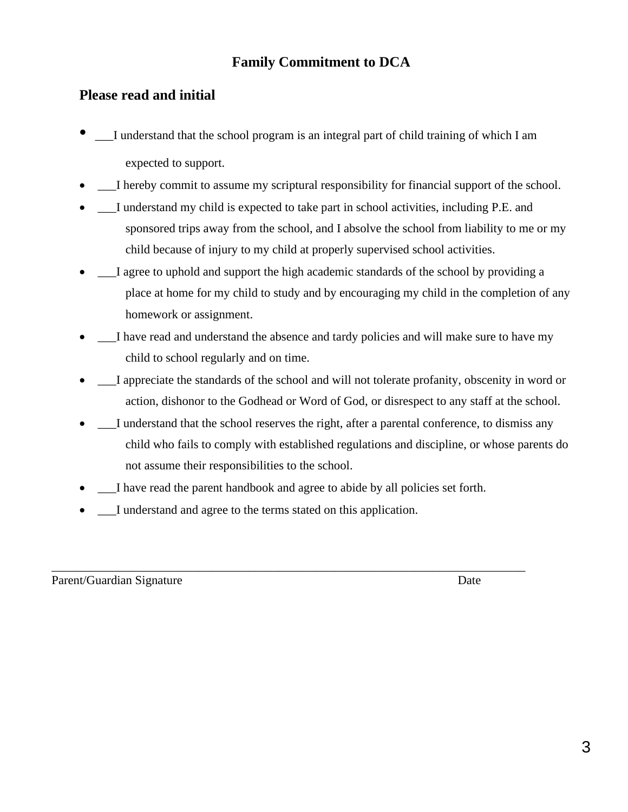#### **Family Commitment to DCA**

#### **Please read and initial**

- \_\_\_I understand that the school program is an integral part of child training of which I am expected to support.
- I hereby commit to assume my scriptural responsibility for financial support of the school.
- I understand my child is expected to take part in school activities, including P.E. and sponsored trips away from the school, and I absolve the school from liability to me or my child because of injury to my child at properly supervised school activities.
- I agree to uphold and support the high academic standards of the school by providing a place at home for my child to study and by encouraging my child in the completion of any homework or assignment.
- I have read and understand the absence and tardy policies and will make sure to have my child to school regularly and on time.
- I appreciate the standards of the school and will not tolerate profanity, obscenity in word or action, dishonor to the Godhead or Word of God, or disrespect to any staff at the school.
- I understand that the school reserves the right, after a parental conference, to dismiss any child who fails to comply with established regulations and discipline, or whose parents do not assume their responsibilities to the school.
- I have read the parent handbook and agree to abide by all policies set forth.

\_\_\_\_\_\_\_\_\_\_\_\_\_\_\_\_\_\_\_\_\_\_\_\_\_\_\_\_\_\_\_\_\_\_\_\_\_\_\_\_\_\_\_\_\_\_\_\_\_\_\_\_\_\_\_\_\_\_\_\_\_\_\_\_\_\_\_\_\_\_\_\_\_\_\_\_\_

I understand and agree to the terms stated on this application.

Parent/Guardian Signature Date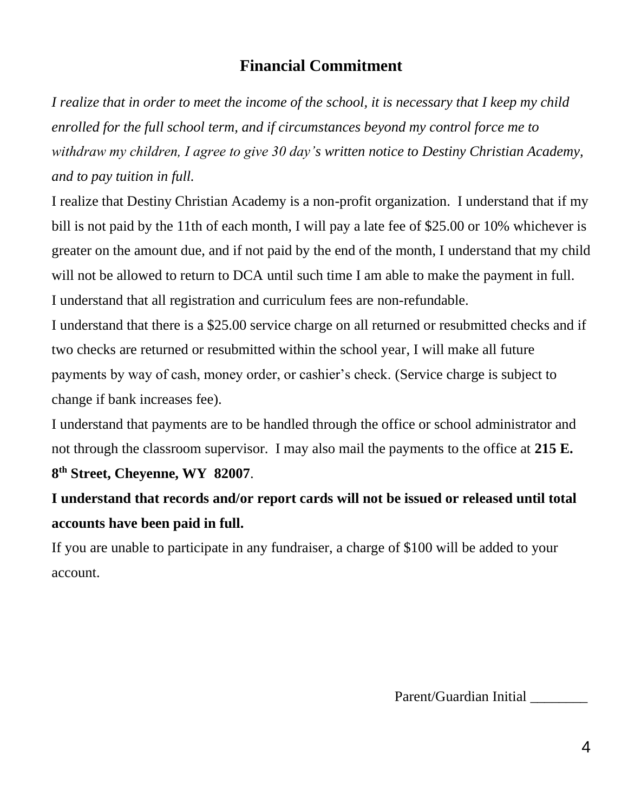#### **Financial Commitment**

*I realize that in order to meet the income of the school, it is necessary that I keep my child enrolled for the full school term, and if circumstances beyond my control force me to withdraw my children, I agree to give 30 day's written notice to Destiny Christian Academy, and to pay tuition in full.*

I realize that Destiny Christian Academy is a non-profit organization. I understand that if my bill is not paid by the 11th of each month, I will pay a late fee of \$25.00 or 10% whichever is greater on the amount due, and if not paid by the end of the month, I understand that my child will not be allowed to return to DCA until such time I am able to make the payment in full. I understand that all registration and curriculum fees are non-refundable.

I understand that there is a \$25.00 service charge on all returned or resubmitted checks and if two checks are returned or resubmitted within the school year, I will make all future payments by way of cash, money order, or cashier's check. (Service charge is subject to change if bank increases fee).

I understand that payments are to be handled through the office or school administrator and not through the classroom supervisor. I may also mail the payments to the office at **215 E. 8 th Street, Cheyenne, WY 82007**.

**I understand that records and/or report cards will not be issued or released until total accounts have been paid in full.**

If you are unable to participate in any fundraiser, a charge of \$100 will be added to your account.

Parent/Guardian Initial \_\_\_\_\_\_\_\_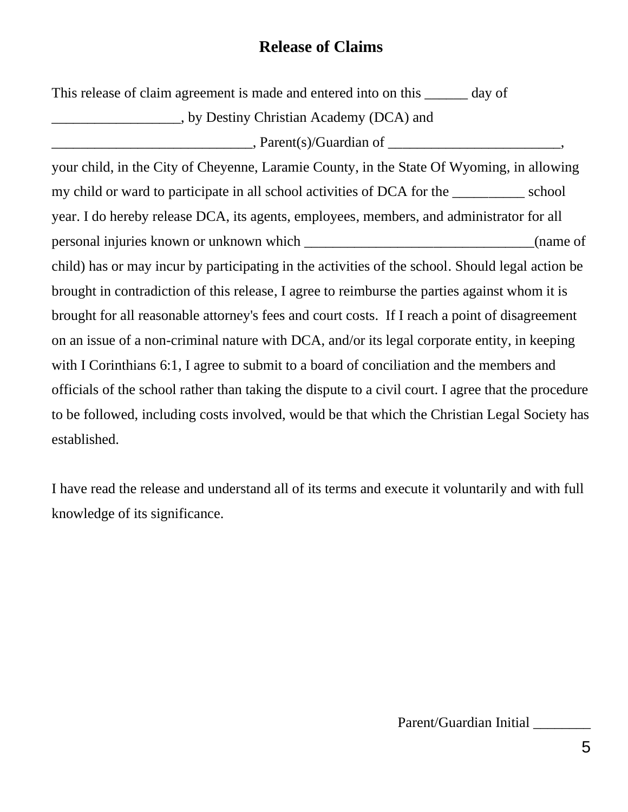# **Release of Claims**

This release of claim agreement is made and entered into on this <u>day</u> of

\_\_\_\_\_\_\_\_\_\_\_\_\_\_\_\_\_\_, by Destiny Christian Academy (DCA) and

 $\text{Parent}(s)/\text{Guardian of}$ ,

your child, in the City of Cheyenne, Laramie County, in the State Of Wyoming, in allowing my child or ward to participate in all school activities of DCA for the school year. I do hereby release DCA, its agents, employees, members, and administrator for all personal injuries known or unknown which \_\_\_\_\_\_\_\_\_\_\_\_\_\_\_\_\_\_\_\_\_\_\_\_\_\_\_\_\_\_\_\_(name of child) has or may incur by participating in the activities of the school. Should legal action be brought in contradiction of this release, I agree to reimburse the parties against whom it is brought for all reasonable attorney's fees and court costs. If I reach a point of disagreement on an issue of a non-criminal nature with DCA, and/or its legal corporate entity, in keeping with I Corinthians 6:1, I agree to submit to a board of conciliation and the members and officials of the school rather than taking the dispute to a civil court. I agree that the procedure to be followed, including costs involved, would be that which the Christian Legal Society has established.

I have read the release and understand all of its terms and execute it voluntarily and with full knowledge of its significance.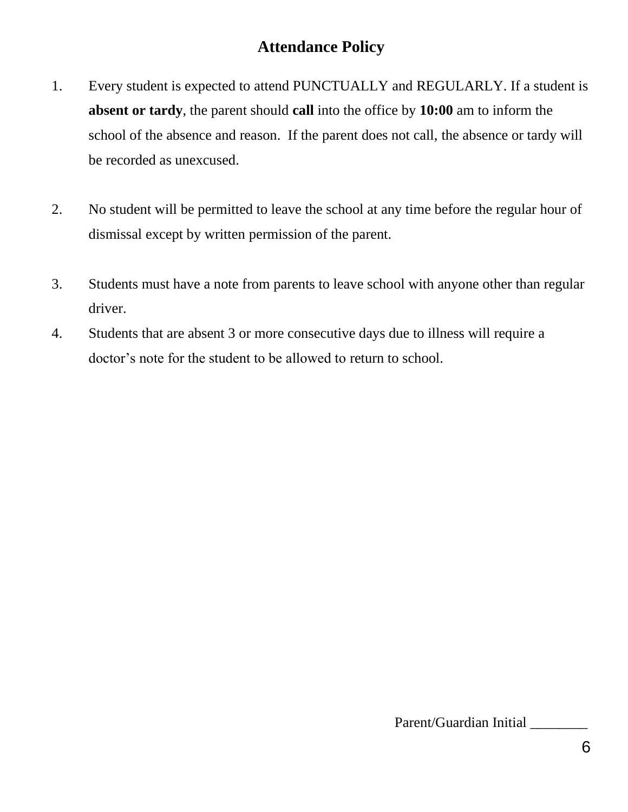# **Attendance Policy**

- 1. Every student is expected to attend PUNCTUALLY and REGULARLY. If a student is **absent or tardy**, the parent should **call** into the office by **10:00** am to inform the school of the absence and reason. If the parent does not call, the absence or tardy will be recorded as unexcused.
- 2. No student will be permitted to leave the school at any time before the regular hour of dismissal except by written permission of the parent.
- 3. Students must have a note from parents to leave school with anyone other than regular driver.
- 4. Students that are absent 3 or more consecutive days due to illness will require a doctor's note for the student to be allowed to return to school.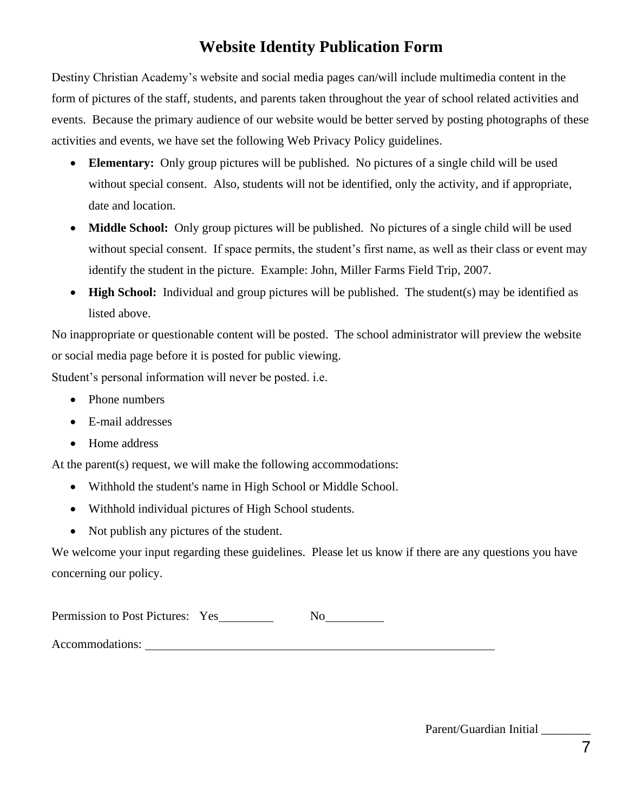# **Website Identity Publication Form**

Destiny Christian Academy's website and social media pages can/will include multimedia content in the form of pictures of the staff, students, and parents taken throughout the year of school related activities and events. Because the primary audience of our website would be better served by posting photographs of these activities and events, we have set the following Web Privacy Policy guidelines.

- **Elementary:** Only group pictures will be published. No pictures of a single child will be used without special consent. Also, students will not be identified, only the activity, and if appropriate, date and location.
- **Middle School:** Only group pictures will be published. No pictures of a single child will be used without special consent. If space permits, the student's first name, as well as their class or event may identify the student in the picture. Example: John, Miller Farms Field Trip, 2007.
- **High School:** Individual and group pictures will be published. The student(s) may be identified as listed above.

No inappropriate or questionable content will be posted. The school administrator will preview the website or social media page before it is posted for public viewing.

Student's personal information will never be posted. i.e.

- Phone numbers
- E-mail addresses
- Home address

At the parent(s) request, we will make the following accommodations:

- Withhold the student's name in High School or Middle School.
- Withhold individual pictures of High School students.
- Not publish any pictures of the student.

We welcome your input regarding these guidelines. Please let us know if there are any questions you have concerning our policy.

| Permission to Post Pictures: Yes |  |  |
|----------------------------------|--|--|
|----------------------------------|--|--|

Accommodations:

Parent/Guardian Initial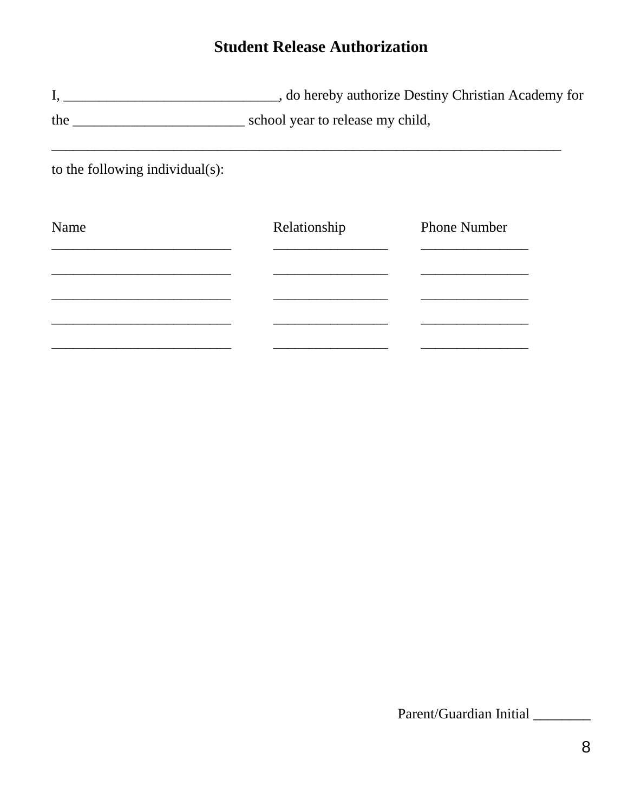# **Student Release Authorization**

to the following individual(s):

| Name | Relationship | <b>Phone Number</b> |
|------|--------------|---------------------|
|      |              |                     |
|      |              |                     |
|      |              |                     |
|      |              |                     |
|      |              |                     |

Parent/Guardian Initial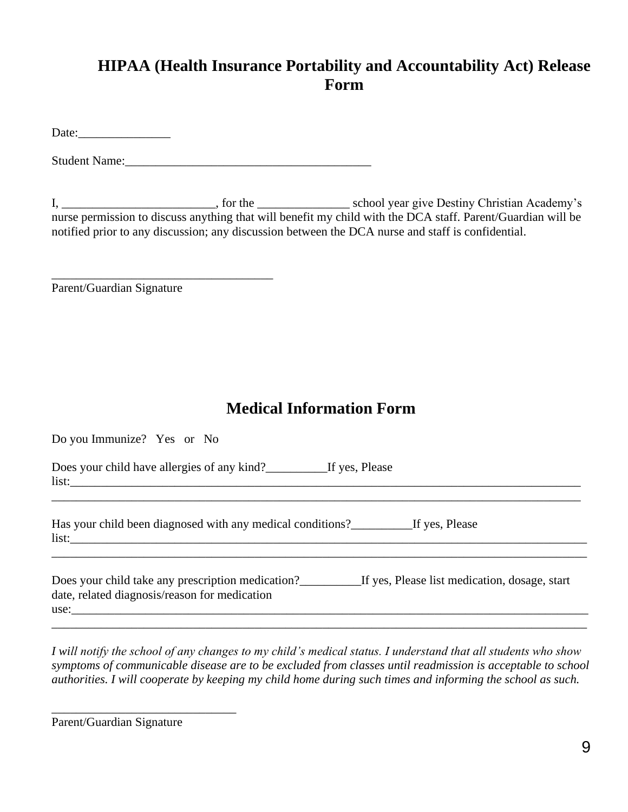# **HIPAA (Health Insurance Portability and Accountability Act) Release Form**

Date:

Student Name:

I, \_\_\_\_\_\_\_\_\_\_\_\_\_\_\_\_\_\_\_\_\_\_\_\_\_, for the \_\_\_\_\_\_\_\_\_\_\_\_\_\_\_ school year give Destiny Christian Academy's nurse permission to discuss anything that will benefit my child with the DCA staff. Parent/Guardian will be notified prior to any discussion; any discussion between the DCA nurse and staff is confidential.

Parent/Guardian Signature

\_\_\_\_\_\_\_\_\_\_\_\_\_\_\_\_\_\_\_\_\_\_\_\_\_\_\_\_\_\_\_\_\_\_\_\_

#### **Medical Information Form**

| Do you Immunize? Yes or No                                                                                                                                          |
|---------------------------------------------------------------------------------------------------------------------------------------------------------------------|
| Does your child have allergies of any kind?<br><u>Letter Section 16</u> yes, Please                                                                                 |
| Has your child been diagnosed with any medical conditions? These If yes, Please                                                                                     |
| Does your child take any prescription medication?<br><u>If yes, Please list medication</u> , dosage, start<br>date, related diagnosis/reason for medication<br>use: |

*I will notify the school of any changes to my child's medical status. I understand that all students who show symptoms of communicable disease are to be excluded from classes until readmission is acceptable to school authorities. I will cooperate by keeping my child home during such times and informing the school as such.*

Parent/Guardian Signature

\_\_\_\_\_\_\_\_\_\_\_\_\_\_\_\_\_\_\_\_\_\_\_\_\_\_\_\_\_\_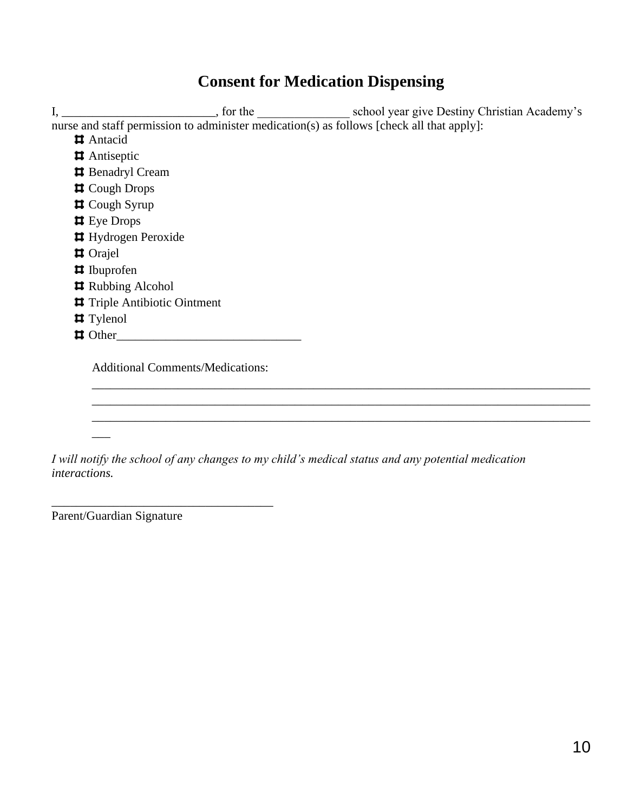### **Consent for Medication Dispensing**

I, \_\_\_\_\_\_\_\_\_\_\_\_\_\_\_\_\_\_\_\_\_\_\_\_\_, for the \_\_\_\_\_\_\_\_\_\_\_\_\_\_\_\_\_\_ school year give Destiny Christian Academy's nurse and staff permission to administer medication(s) as follows [check all that apply]: Antacid Antiseptic  $\sharp$  Benadryl Cream Cough Drops Cough Syrup **E** Eye Drops **H** Hydrogen Peroxide Orajel Ibuprofen **#** Rubbing Alcohol Triple Antibiotic Ointment  $\blacksquare$  Tylenol Other\_\_\_\_\_\_\_\_\_\_\_\_\_\_\_\_\_\_\_\_\_\_\_\_\_\_\_\_\_\_ Additional Comments/Medications: \_\_\_\_\_\_\_\_\_\_\_\_\_\_\_\_\_\_\_\_\_\_\_\_\_\_\_\_\_\_\_\_\_\_\_\_\_\_\_\_\_\_\_\_\_\_\_\_\_\_\_\_\_\_\_\_\_\_\_\_\_\_\_\_\_\_\_\_\_\_\_\_\_\_\_\_\_\_\_\_\_

\_\_\_\_\_\_\_\_\_\_\_\_\_\_\_\_\_\_\_\_\_\_\_\_\_\_\_\_\_\_\_\_\_\_\_\_\_\_\_\_\_\_\_\_\_\_\_\_\_\_\_\_\_\_\_\_\_\_\_\_\_\_\_\_\_\_\_\_\_\_\_\_\_\_\_\_\_\_\_\_\_ \_\_\_\_\_\_\_\_\_\_\_\_\_\_\_\_\_\_\_\_\_\_\_\_\_\_\_\_\_\_\_\_\_\_\_\_\_\_\_\_\_\_\_\_\_\_\_\_\_\_\_\_\_\_\_\_\_\_\_\_\_\_\_\_\_\_\_\_\_\_\_\_\_\_\_\_\_\_\_\_\_

*I will notify the school of any changes to my child's medical status and any potential medication interactions.*

Parent/Guardian Signature

\_\_\_\_\_\_\_\_\_\_\_\_\_\_\_\_\_\_\_\_\_\_\_\_\_\_\_\_\_\_\_\_\_\_\_\_

\_\_\_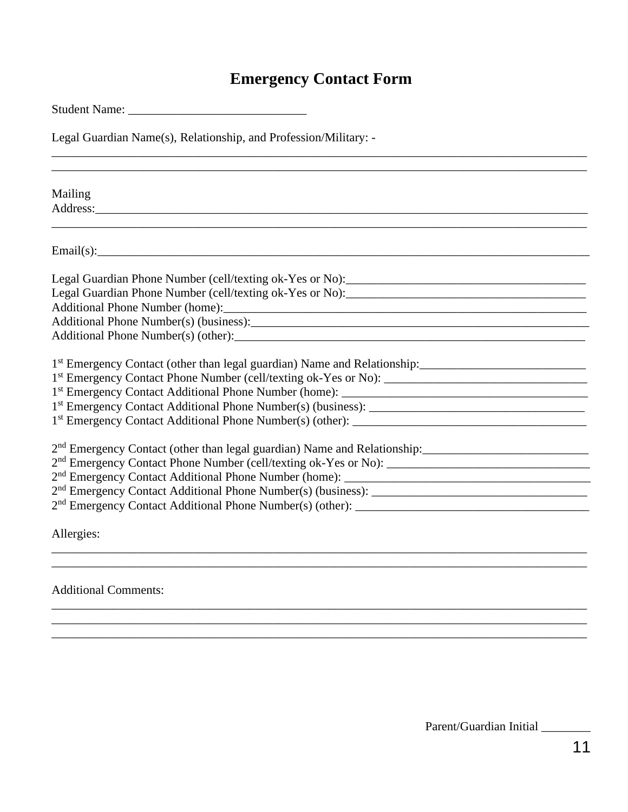# **Emergency Contact Form**

| Student Name: Name and Student Name and Student Name and Student Assembly                                                                                                                                                                      |  |  |  |
|------------------------------------------------------------------------------------------------------------------------------------------------------------------------------------------------------------------------------------------------|--|--|--|
| Legal Guardian Name(s), Relationship, and Profession/Military: -                                                                                                                                                                               |  |  |  |
|                                                                                                                                                                                                                                                |  |  |  |
| Mailing<br>Address: <u>Address:</u> Address: Address: Address: Address: Address: Address: Address: Address: Address: Address: Address: Address: Address: Address: Address: Address: Address: Address: Address: Address: Address: Address: Addr |  |  |  |
|                                                                                                                                                                                                                                                |  |  |  |
|                                                                                                                                                                                                                                                |  |  |  |
|                                                                                                                                                                                                                                                |  |  |  |
|                                                                                                                                                                                                                                                |  |  |  |
|                                                                                                                                                                                                                                                |  |  |  |
|                                                                                                                                                                                                                                                |  |  |  |
|                                                                                                                                                                                                                                                |  |  |  |
| 1 <sup>st</sup> Emergency Contact (other than legal guardian) Name and Relationship:                                                                                                                                                           |  |  |  |
|                                                                                                                                                                                                                                                |  |  |  |
|                                                                                                                                                                                                                                                |  |  |  |
|                                                                                                                                                                                                                                                |  |  |  |
|                                                                                                                                                                                                                                                |  |  |  |
| 2 <sup>nd</sup> Emergency Contact (other than legal guardian) Name and Relationship:                                                                                                                                                           |  |  |  |
|                                                                                                                                                                                                                                                |  |  |  |
|                                                                                                                                                                                                                                                |  |  |  |
|                                                                                                                                                                                                                                                |  |  |  |
|                                                                                                                                                                                                                                                |  |  |  |
| Allergies:<br>,我们也不能在这里的时候,我们也不能在这里的时候,我们也不能不能不能不能不能不能不能不能不能不能不能不能不能不能不能。""我们的是我们的,我们也不能不能不能不能                                                                                                                                                 |  |  |  |
|                                                                                                                                                                                                                                                |  |  |  |
| <b>Additional Comments:</b>                                                                                                                                                                                                                    |  |  |  |

Parent/Guardian Initial \_\_\_\_\_\_\_\_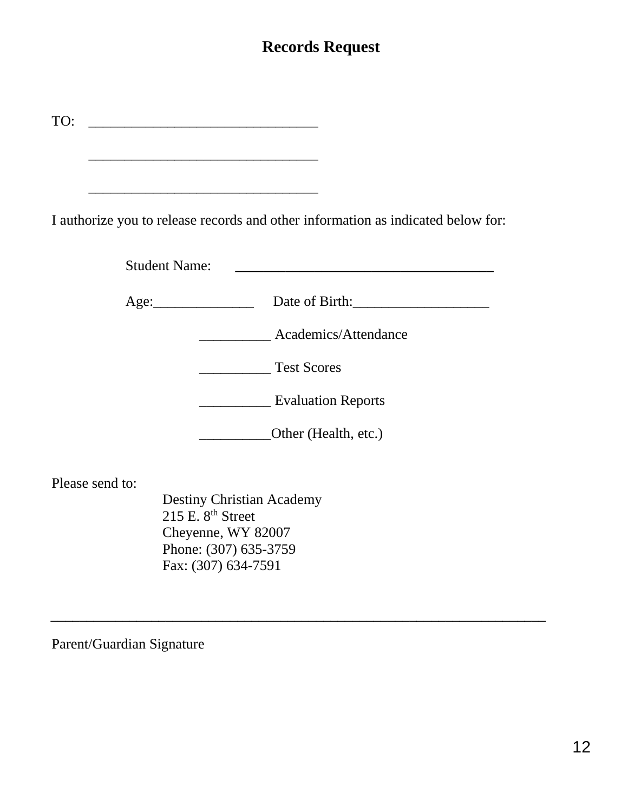## **Records Request**

| $\mathbf{r}$ |  |  |
|--------------|--|--|
|              |  |  |

\_\_\_\_\_\_\_\_\_\_\_\_\_\_\_\_\_\_\_\_\_\_\_\_\_\_\_\_\_\_\_\_

\_\_\_\_\_\_\_\_\_\_\_\_\_\_\_\_\_\_\_\_\_\_\_\_\_\_\_\_\_\_\_\_

I authorize you to release records and other information as indicated below for:

| <b>Student Name:</b> |                           |  |
|----------------------|---------------------------|--|
|                      | Date of Birth:            |  |
|                      | Academics/Attendance      |  |
|                      | <b>Test Scores</b>        |  |
|                      | <b>Evaluation Reports</b> |  |
|                      | Other (Health, etc.)      |  |

*\_\_\_\_\_\_\_\_\_\_\_\_\_\_\_\_\_\_\_\_\_\_\_\_\_\_\_\_\_\_\_\_\_\_\_\_\_\_\_\_\_\_\_\_\_\_\_\_\_\_\_\_\_\_\_\_\_\_\_\_\_\_\_\_\_\_\_\_\_*

Please send to:

Destiny Christian Academy  $215$  E.  $8<sup>th</sup>$  Street Cheyenne, WY 82007 Phone: (307) 635-3759 Fax: (307) 634-7591

Parent/Guardian Signature